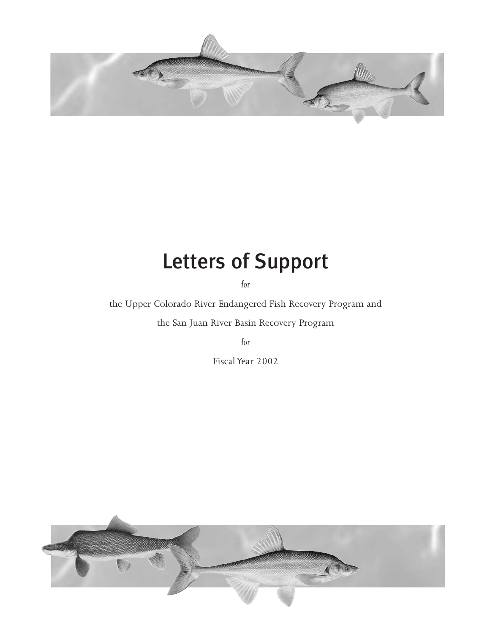

# Letters of Support

*for*

the Upper Colorado River Endangered Fish Recovery Program and

the San Juan River Basin Recovery Program

*for*

Fiscal Year 2002

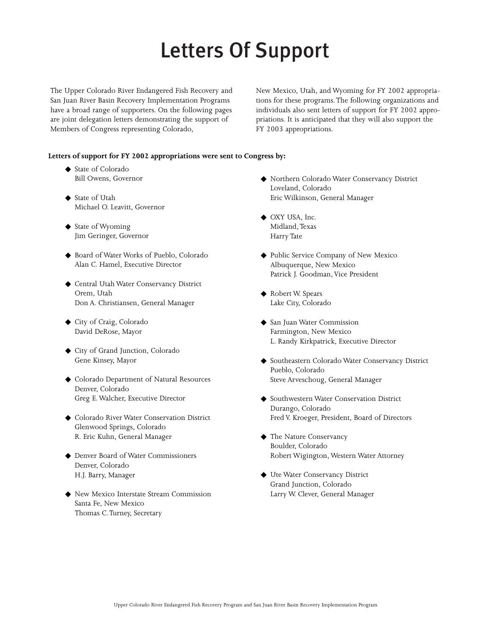# Letters Of Support

The Upper Colorado River Endangered Fish Recovery and San Juan River Basin Recovery Implementation Programs have a broad range of supporters. On the following pages are joint delegation letters demonstrating the support of Members of Congress representing Colorado,

New Mexico, Utah, and Wyoming for FY 2002 appropriations for these programs.The following organizations and individuals also sent letters of support for FY 2002 appropriations. It is anticipated that they will also support the FY 2003 appropriations.

### **Letters of support for FY 2002 appropriations were sent to Congress by:**

- ◆ State of Colorado Bill Owens, Governor
- ◆ State of Utah Michael O. Leavitt, Governor
- ◆ State of Wyoming Jim Geringer, Governor
- ◆ Board of Water Works of Pueblo, Colorado Alan C. Hamel, Executive Director
- ◆ Central Utah Water Conservancy District Orem, Utah Don A. Christiansen, General Manager
- ◆ City of Craig, Colorado David DeRose, Mayor
- ◆ City of Grand Junction, Colorado Gene Kinsey, Mayor
- ◆ Colorado Department of Natural Resources Denver, Colorado Greg E. Walcher, Executive Director
- ◆ Colorado River Water Conservation District Glenwood Springs, Colorado R. Eric Kuhn, General Manager
- ◆ Denver Board of Water Commissioners Denver, Colorado H.J. Barry, Manager
- ◆ New Mexico Interstate Stream Commission Santa Fe, New Mexico Thomas C.Turney, Secretary
- ◆ Northern Colorado Water Conservancy District Loveland, Colorado Eric Wilkinson, General Manager
- ◆ OXY USA, Inc. Midland,Texas Harry Tate
- ◆ Public Service Company of New Mexico Albuquerque, New Mexico Patrick J. Goodman, Vice President
- ◆ Robert W. Spears Lake City, Colorado
- ◆ San Juan Water Commission Farmington, New Mexico L. Randy Kirkpatrick, Executive Director
- ◆ Southeastern Colorado Water Conservancy District Pueblo, Colorado Steve Arveschoug, General Manager
- ◆ Southwestern Water Conservation District Durango, Colorado Fred V. Kroeger, President, Board of Directors
- ◆ The Nature Conservancy Boulder, Colorado Robert Wigington, Western Water Attorney
- ◆ Ute Water Conservancy District Grand Junction, Colorado Larry W. Clever, General Manager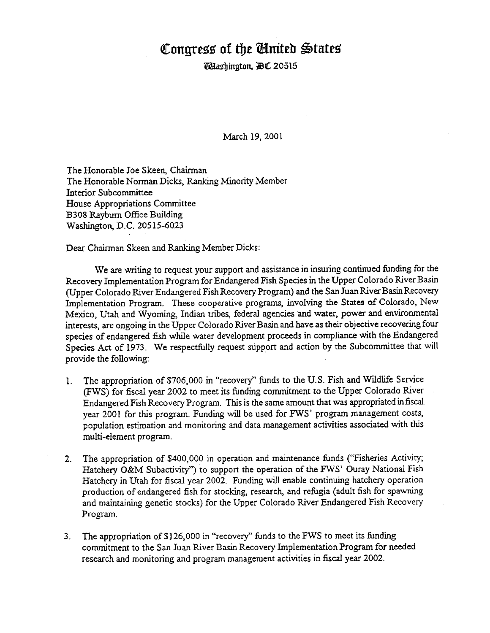# Congress of the Ginited States

**Whashington, AC 20515** 

March 19, 2001

The Honorable Joe Skeen, Chairman The Honorable Norman Dicks, Ranking Minority Member Interior Subcommittee House Appropriations Committee B308 Rayburn Office Building Washington, D.C. 20515-6023

Dear Chairman Skeen and Ranking Member Dicks:

We are writing to request your support and assistance in insuring continued funding for the Recovery Implementation Program for Endangered Fish Species in the Upper Colorado River Basin (Upper Colorado River Endangered Fish Recovery Program) and the San Juan River Basin Recovery Implementation Program. These cooperative programs, involving the States of Colorado, New Mexico. Utah and Wyoming. Indian tribes, federal agencies and water, power and environmental interests, are ongoing in the Upper Colorado River Basin and have as their objective recovering four species of endangered fish while water development proceeds in compliance with the Endangered Species Act of 1973. We respectfully request support and action by the Subcommittee that will provide the following:

- The appropriation of \$706,000 in "recovery" funds to the U.S. Fish and Wildlife Service 1. (FWS) for fiscal year 2002 to meet its funding commitment to the Upper Colorado River Endangered Fish Recovery Program. This is the same amount that was appropriated in fiscal year 2001 for this program. Funding will be used for FWS' program management costs, population estimation and monitoring and data management activities associated with this multi-element program.
- The appropriation of \$400,000 in operation and maintenance funds ("Fisheries Activity;  $2.$ Hatchery O&M Subactivity") to support the operation of the FWS' Ouray National Fish Hatchery in Utah for fiscal year 2002. Funding will enable continuing hatchery operation production of endangered fish for stocking, research, and refugia (adult fish for spawning and maintaining genetic stocks) for the Upper Colorado River Endangered Fish Recovery Program.
- 3. The appropriation of \$126,000 in "recovery" funds to the FWS to meet its funding commitment to the San Juan River Basin Recovery Implementation Program for needed research and monitoring and program management activities in fiscal year 2002.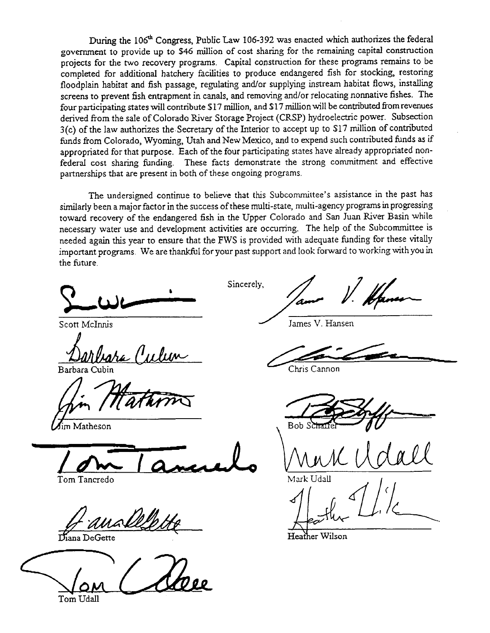During the 106<sup>th</sup> Congress, Public Law 106-392 was enacted which authorizes the federal government to provide up to \$46 million of cost sharing for the remaining capital construction projects for the two recovery programs. Capital construction for these programs remains to be completed for additional hatchery facilities to produce endangered fish for stocking, restoring floodplain habitat and fish passage, regulating and/or supplying instream habitat flows, installing screens to prevent fish entrapment in canals, and removing and/or relocating nonnative fishes. The four participating states will contribute \$17 million, and \$17 million will be contributed from revenues derived from the sale of Colorado River Storage Project (CRSP) hydroelectric power. Subsection 3(c) of the law authorizes the Secretary of the Interior to accept up to \$17 million of contributed funds from Colorado, Wyoming, Utah and New Mexico, and to expend such contributed funds as if appropriated for that purpose. Each of the four participating states have already appropriated nonfederal cost sharing funding. These facts demonstrate the strong commitment and effective partnerships that are present in both of these ongoing programs.

The undersigned continue to believe that this Subcommittee's assistance in the past has similarly been a major factor in the success of these multi-state, multi-agency programs in progressing toward recovery of the endangered fish in the Upper Colorado and San Juan River Basin while necessary water use and development activities are occurring. The help of the Subcommittee is needed again this year to ensure that the FWS is provided with adequate funding for these vitally important programs. We are thankful for your past support and look forward to working with you in the future.

Scott McInnis

m Matheson

Tom Tancredo

allle.

Diana DeGette

Tom Udall

Sincerely.

James V. Hansen

Chris Cannon

Bob S

Heather Wilson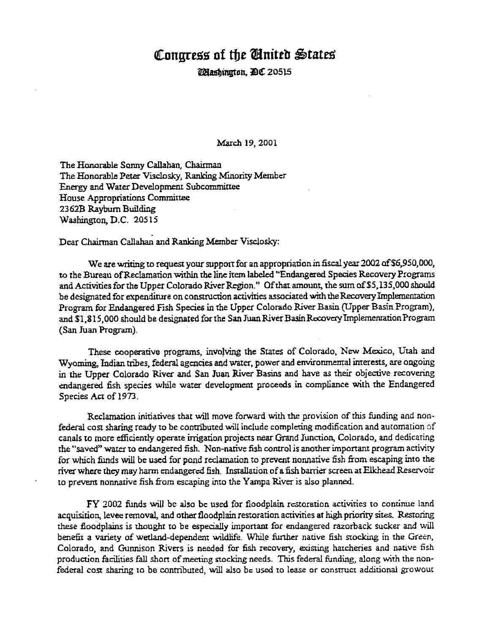# Congress of the United States

Mashinuton, DC 20515

March 19, 2001

The Honorable Sonny Callahan, Chairman The Honorable Peter Visclosky, Ranking Minority Member Energy and Water Development Subcommittee House Appropriations Committee 2362B Rayburn Building Washington, D.C. 20515

Dear Chairman Callahan and Ranking Member Visclosky:

We are writing to request your support for an appropriation in fiscal year 2002 of \$6,950,000, to the Bureau of Reclamation within the line item labeled "Endangered Species Recovery Programs and Activities for the Upper Colorado River Region." Of that amount, the sum of \$5,135,000 should be designated for expenditure on construction activities associated with the Recovery Implementation Program for Endangered Fish Species in the Upper Colorado River Basin (Upper Basin Program), and \$1.815,000 should be designated for the San Juan River Basin Recovery Implementation Program (San Juan Program).

These cooperative programs, involving the States of Colorado, New Mexico, Utah and Wyoming. Indian tribes, federal agencies and water, power and environmental interests, are ongoing in the Upper Colorado River and San Juan River Basins and have as their objective recovering endangered fish species while water development proceeds in compliance with the Endangered Species Act of 1973.

Reclamation initiatives that will move forward with the provision of this funding and nonfederal cost sharing ready to be contributed will include completing modification and automation of canals to more efficiently operate irrigation projects near Grand Junction, Colorado, and dedicating the "saved" water to endangered fish. Non-native fish control is another important program activity for which funds will be used for pond reclamation to prevent nonnative fish from escaping into the river where they may harm endangered fish. Installation of a fish barrier screen at Elkhead Reservoir to prevent nonnative fish from escaping into the Yampa River is also planned.

FY 2002 funds will be also be used for floodplain restoration activities to continue land acquisition, levee removal, and other floodplain restoration activities at high priority sites. Restoring these floodplains is thought to be especially important for endangered razorback sucker and will benefit a variety of wetland-dependent wildlife. While further native fish stocking in the Green, Colorado, and Gunnison Rivers is needed for fish recovery, existing hatcheries and native fish production facilities fall short of meeting stocking needs. This federal funding, along with the nonfederal cost sharing to be contributed, will also be used to lease or construct additional growout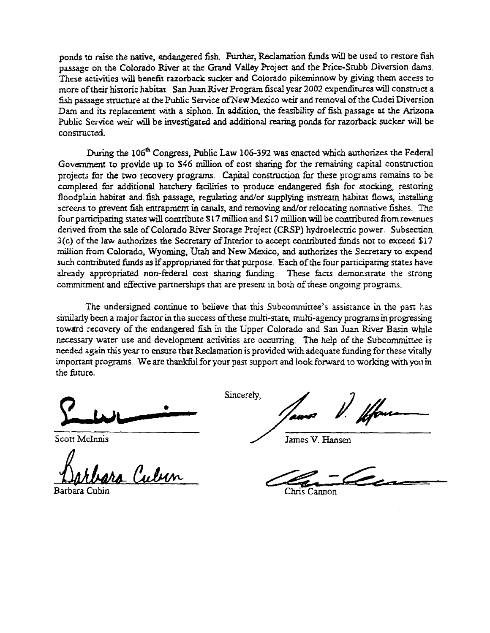ponds to raise the native, endangered fish. Further, Reclamation funds will be used to restore fish passage on the Colorado River at the Grand Valley Project and the Price-Stubb Diversion dams. These activities will benefit razorback sucker and Colorado pikeminnow by giving them access to more of their historic habitat. San Juan River Program fiscal year 2002 expenditures will construct a fish passage structure at the Public Service of New Mexico weir and removal of the Cudei Diversion Dam and its replacement with a siphon. In addition, the feasibility of fish passage at the Arizona Public Service weir will be investigated and additional rearing ponds for razorback sucker will be constructed.

During the 106<sup>th</sup> Congress, Public Law 106-392 was enacted which authorizes the Federal Government to provide up to \$46 million of cost sharing for the remaining capital construction projects for the two recovery programs. Capital construction for these programs remains to be completed for additional hatchery facilities to produce endangered fish for stocking, restoring floodplain habitat and fish passage, regulating and/or supplying instream habitat flows, installing screens to prevent fish entrapment in canals, and removing and/or relocating nonnative fishes. The four participating states will contribute \$17 million and \$17 million will be contributed from revenues derived from the sale of Colorado River Storage Project (CRSP) hydroelectric power. Subsection 3(c) of the law authorizes the Secretary of Interior to accept contributed funds not to exceed \$17 million from Colorado, Wyoming, Utah and New Mexico, and authorizes the Secretary to expend such contributed funds as if appropriated for that purpose. Each of the four participating states have already appropriated non-federal cost sharing funding. These facts demonstrate the strong commitment and effective partnerships that are present in both of these ongoing programs.

The undersigned continue to believe that this Subcommittee's assistance in the past has similarly been a major factor in the success of these multi-state, multi-agency programs in progressing toward recovery of the endangered fish in the Upper Colorado and San Juan River Basin while necessary water use and development activities are occurring. The help of the Subcommittee is needed again this year to ensure that Reclamation is provided with adequate funding for these vitally important programs. We are thankful for your past support and look forward to working with you in the future.

Scott McInnis

Barbara Cubin

Sincerely,

James V. Hansen

Chris Cannon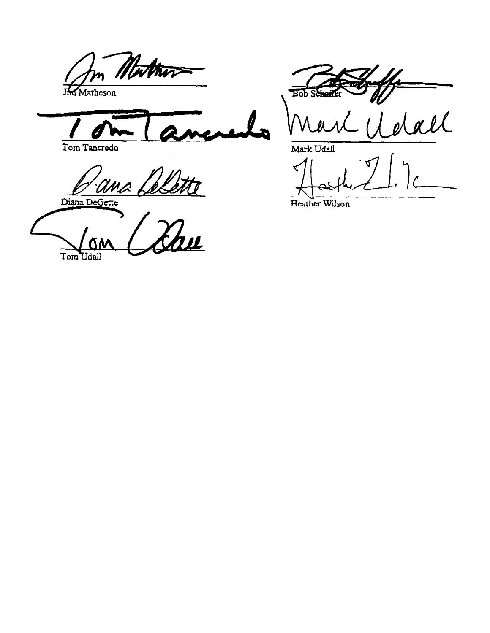athir 乃 Matheson

Tom Tancredo

'ana. skette

Diana DeGette

<u>u</u> Tom Udall

Bob Schef

all

Mark Udall

 $\blacktriangleleft$  $\overline{a}$ 

Heather Wilson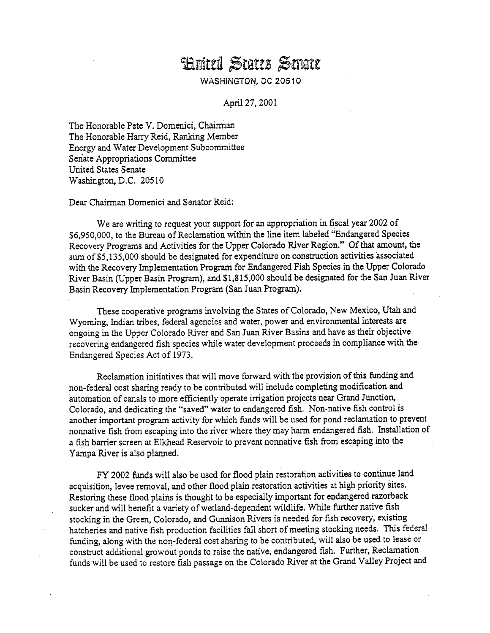# Hnited States Smate

# **WASHINGTON, DC 20510**

April 27, 2001

The Honorable Pete V. Domenici, Chairman The Honorable Harry Reid, Ranking Member Energy and Water Development Subcommittee Senate Appropriations Committee **United States Senate** Washington, D.C. 20510

Dear Chairman Domenici and Senator Reid:

We are writing to request your support for an appropriation in fiscal year 2002 of \$6,950,000, to the Bureau of Reclamation within the line item labeled "Endangered Species Recovery Programs and Activities for the Upper Colorado River Region." Of that amount, the sum of \$5,135,000 should be designated for expenditure on construction activities associated with the Recovery Implementation Program for Endangered Fish Species in the Upper Colorado River Basin (Upper Basin Program), and \$1,815,000 should be designated for the San Juan River Basin Recovery Implementation Program (San Juan Program).

These cooperative programs involving the States of Colorado, New Mexico, Utah and Wyoming, Indian tribes, federal agencies and water, power and environmental interests are ongoing in the Upper Colorado River and San Juan River Basins and have as their objective recovering endangered fish species while water development proceeds in compliance with the Endangered Species Act of 1973.

Reclamation initiatives that will move forward with the provision of this funding and non-federal cost sharing ready to be contributed will include completing modification and automation of canals to more efficiently operate irrigation projects near Grand Junction, Colorado, and dedicating the "saved" water to endangered fish. Non-native fish control is another important program activity for which funds will be used for pond reclamation to prevent nonnative fish from escaping into the river where they may harm endangered fish. Installation of a fish barrier screen at Elkhead Reservoir to prevent nonnative fish from escaping into the Yampa River is also planned.

FY 2002 funds will also be used for flood plain restoration activities to continue land acquisition, levee removal, and other flood plain restoration activities at high priority sites. Restoring these flood plains is thought to be especially important for endangered razorback sucker and will benefit a variety of wetland-dependent wildlife. While further native fish stocking in the Green, Colorado, and Gunnison Rivers is needed for fish recovery, existing hatcheries and native fish production facilities fall short of meeting stocking needs. This federal funding, along with the non-federal cost sharing to be contributed, will also be used to lease or construct additional growout ponds to raise the native, endangered fish. Further, Reclamation funds will be used to restore fish passage on the Colorado River at the Grand Valley Project and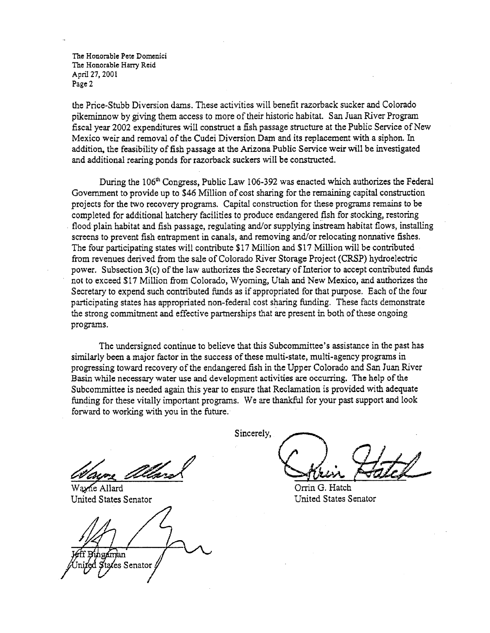The Honorable Pete Domenici The Honorable Harry Reid April 27, 2001 Page 2

the Price-Stubb Diversion dams. These activities will benefit razorback sucker and Colorado pikeminnow by giving them access to more of their historic habitat. San Juan River Program fiscal year 2002 expenditures will construct a fish passage structure at the Public Service of New Mexico weir and removal of the Cudei Diversion Dam and its replacement with a siphon. In addition, the feasibility of fish passage at the Arizona Public Service weir will be investigated and additional rearing ponds for razorback suckers will be constructed.

During the 106<sup>th</sup> Congress, Public Law 106-392 was enacted which authorizes the Federal Government to provide up to \$46 Million of cost sharing for the remaining capital construction projects for the two recovery programs. Capital construction for these programs remains to be completed for additional hatchery facilities to produce endangered fish for stocking, restoring flood plain habitat and fish passage, regulating and/or supplying instream habitat flows, installing screens to prevent fish entrapment in canals, and removing and/or relocating nonnative fishes. The four participating states will contribute \$17 Million and \$17 Million will be contributed from revenues derived from the sale of Colorado River Storage Project (CRSP) hydroelectric power. Subsection 3(c) of the law authorizes the Secretary of Interior to accept contributed funds not to exceed \$17 Million from Colorado, Wyoming, Utah and New Mexico, and authorizes the Secretary to expend such contributed funds as if appropriated for that purpose. Each of the four participating states has appropriated non-federal cost sharing funding. These facts demonstrate the strong commitment and effective partnerships that are present in both of these ongoing programs.

The undersigned continue to believe that this Subcommittee's assistance in the past has similarly been a major factor in the success of these multi-state, multi-agency programs in progressing toward recovery of the endangered fish in the Upper Colorado and San Juan River Basin while necessary water use and development activities are occurring. The help of the Subcommittee is needed again this year to ensure that Reclamation is provided with adequate funding for these vitally important programs. We are thankful for your past support and look forward to working with you in the future.

Wayne Allard United States Senator

man Senator

Sincerely,

Orrin G. Hatch United States Senator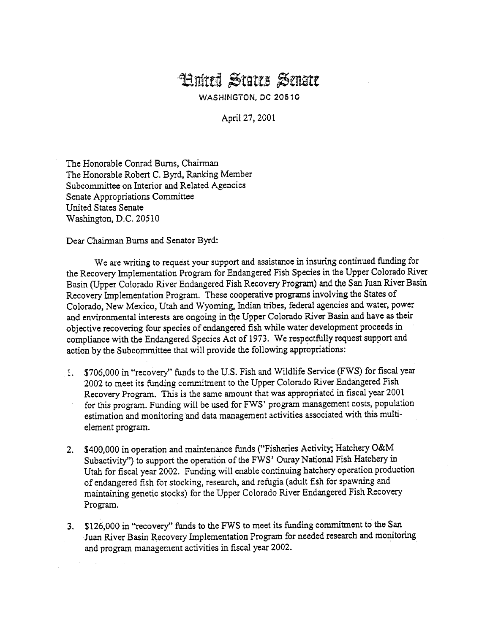# **Hnited States Senate**

WASHINGTON, DC 20510

April 27, 2001

The Honorable Conrad Burns, Chairman The Honorable Robert C. Byrd, Ranking Member Subcommittee on Interior and Related Agencies Senate Appropriations Committee United States Senate Washington, D.C. 20510

Dear Chairman Burns and Senator Byrd:

We are writing to request your support and assistance in insuring continued funding for the Recovery Implementation Program for Endangered Fish Species in the Upper Colorado River Basin (Upper Colorado River Endangered Fish Recovery Program) and the San Juan River Basin Recovery Implementation Program. These cooperative programs involving the States of Colorado, New Mexico, Utah and Wyoming, Indian tribes, federal agencies and water, power and environmental interests are ongoing in the Upper Colorado River Basin and have as their objective recovering four species of endangered fish while water development proceeds in compliance with the Endangered Species Act of 1973. We respectfully request support and action by the Subcommittee that will provide the following appropriations:

- 1. \$706,000 in "recovery" funds to the U.S. Fish and Wildlife Service (FWS) for fiscal year 2002 to meet its funding commitment to the Upper Colorado River Endangered Fish Recovery Program. This is the same amount that was appropriated in fiscal year 2001 for this program. Funding will be used for FWS' program management costs, population estimation and monitoring and data management activities associated with this multielement program.
- 2. \$400,000 in operation and maintenance funds ("Fisheries Activity; Hatchery O&M Subactivity") to support the operation of the FWS' Ouray National Fish Hatchery in Utah for fiscal year 2002. Funding will enable continuing hatchery operation production of endangered fish for stocking, research, and refugia (adult fish for spawning and maintaining genetic stocks) for the Upper Colorado River Endangered Fish Recovery Program.
- 3. \$126,000 in "recovery" funds to the FWS to meet its funding commitment to the San Juan River Basin Recovery Implementation Program for needed research and monitoring and program management activities in fiscal year 2002.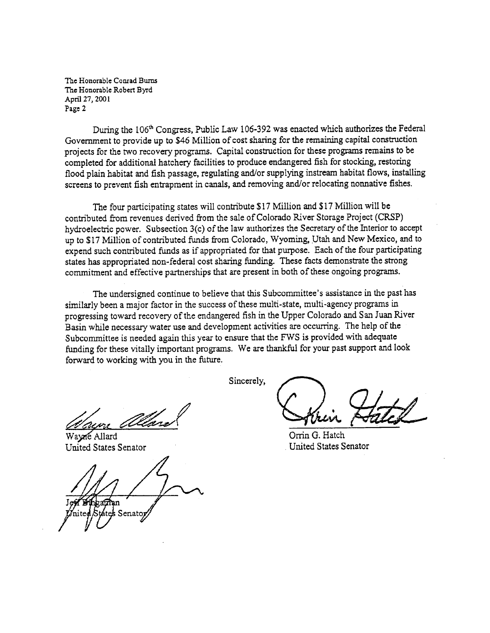The Honorable Conrad Burns The Honorable Robert Byrd April 27, 2001 Page 2

During the 106<sup>th</sup> Congress, Public Law 106-392 was enacted which authorizes the Federal Government to provide up to \$46 Million of cost sharing for the remaining capital construction projects for the two recovery programs. Capital construction for these programs remains to be completed for additional hatchery facilities to produce endangered fish for stocking, restoring flood plain habitat and fish passage, regulating and/or supplying instream habitat flows, installing screens to prevent fish entrapment in canals, and removing and/or relocating nonnative fishes.

The four participating states will contribute \$17 Million and \$17 Million will be contributed from revenues derived from the sale of Colorado River Storage Project (CRSP) hydroelectric power. Subsection 3(c) of the law authorizes the Secretary of the Interior to accept up to \$17 Million of contributed funds from Colorado, Wyoming, Utah and New Mexico, and to expend such contributed funds as if appropriated for that purpose. Each of the four participating states has appropriated non-federal cost sharing funding. These facts demonstrate the strong commitment and effective partnerships that are present in both of these ongoing programs.

The undersigned continue to believe that this Subcommittee's assistance in the past has similarly been a major factor in the success of these multi-state, multi-agency programs in progressing toward recovery of the endangered fish in the Upper Colorado and San Juan River Basin while necessary water use and development activities are occurring. The help of the Subcommittee is needed again this year to ensure that the FWS is provided with adequate funding for these vitally important programs. We are thankful for your past support and look forward to working with you in the future.

Sincerely,

Wayne Allard United States Senator

Senato

Orrin G. Hatch United States Senator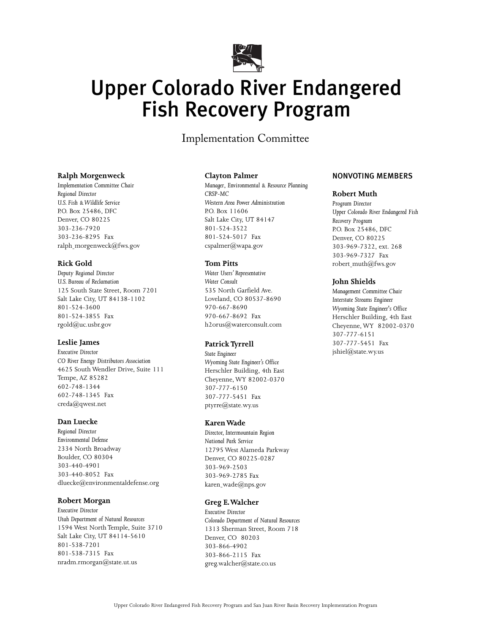

# Upper Colorado River Endangered Fish Recovery Program

Implementation Committee

## **Ralph Morgenweck**

*Implementation Committee Chair Regional Director U.S. Fish & Wildlife Service* P.O. Box 25486, DFC Denver, CO 80225 303-236-7920 303-236-8295 Fax ralph-morgenweck@fws.gov

## **Rick Gold**

*Deputy Regional Director U.S. Bureau of Reclamation* 125 South State Street, Room 7201 Salt Lake City, UT 84138-1102 801-524-3600 801-524-3855 Fax rgold@uc.usbr.gov

# **Leslie James**

*Executive Director CO River Energy Distributors Association* 4625 South Wendler Drive, Suite 111 Tempe, AZ 85282 602-748-1344 602-748-1345 Fax creda@qwest.net

### **Dan Luecke**

*Regional Director Environmental Defense* 2334 North Broadway Boulder, CO 80304 303-440-4901 303-440-8052 Fax dluecke@environmentaldefense.org

### **Robert Morgan**

*Executive Director Utah Department of Natural Resources* 1594 West North Temple, Suite 3710 Salt Lake City, UT 84114-5610 801-538-7201 801-538-7315 Fax nradm.rmorgan@state.ut.us

#### **Clayton Palmer**

*Manager*, *Environmental & Resource Planning CRSP-MC Western Area Power Administration* P.O. Box 11606 Salt Lake City, UT 84147 801-524-3522 801-524-5017 Fax cspalmer@wapa.gov

### **Tom Pitts**

*Water Users' Representative Water Consult* 535 North Garfield Ave. Loveland, CO 80537-8690 970-667-8690 970-667-8692 Fax h2orus@waterconsult.com

### **Patrick Tyrrell**

*State Engineer Wyoming State Engineer's Office* Herschler Building, 4th East Cheyenne, WY 82002-0370 307-777-6150 307-777-5451 Fax ptyrre@state.wy.us

#### **Karen Wade**

*Director, Intermountain Region National Park Service* 12795 West Alameda Parkway Denver, CO 80225-0287 303-969-2503 303-969-2785 Fax karen\_wade@nps.gov

### **Greg E.Walcher**

*Executive Director Colorado Department of Natural Resources* 1313 Sherman Street, Room 718 Denver, CO 80203 303-866-4902 303-866-2115 Fax greg.walcher@state.co.us

# NONVOTING MEMBERS

### **Robert Muth**

*Program Director Upper Colorado River Endangered Fish Recovery Program* P.O. Box 25486, DFC Denver, CO 80225 303-969-7322, ext. 268 303-969-7327 Fax robert-muth@fws.gov

### **John Shields**

*Management Committee Chair Interstate Streams Engineer Wyoming State Engineer's Office* Herschler Building, 4th East Cheyenne, WY 82002-0370 307-777-6151 307-777-5451 Fax jshiel@state.wy.us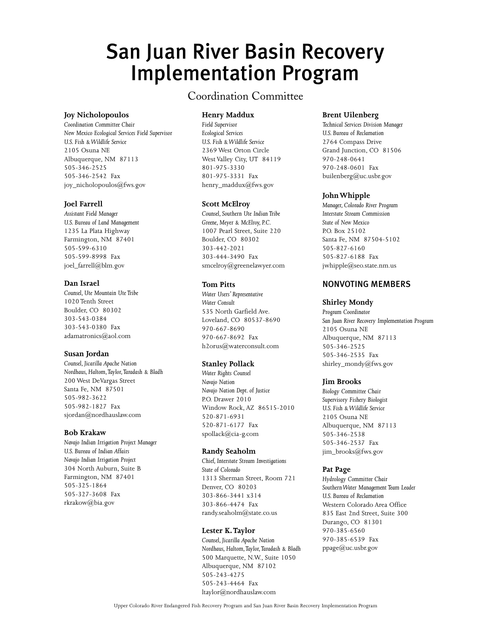# San Juan River Basin Recovery Implementation Program

# **Joy Nicholopoulos**

*Coordination Committee Chair New Mexico Ecological Services Field Supervisor U.S. Fish & Wildlife Service* 2105 Osuna NE Albuquerque, NM 87113 505-346-2525 505-346-2542 Fax joy\_nicholopoulos@fws.gov

## **Joel Farrell**

*Assistant Field Manager U.S. Bureau of Land Management* 1235 La Plata Highway Farmington, NM 87401 505-599-6310 505-599-8998 Fax joel\_farrell@blm.gov

## **Dan Israel**

*Counsel, Ute Mountain Ute Tribe* 1020 Tenth Street Boulder, CO 80302 303-543-0384 303-543-0380 Fax adamatronics@aol.com

# **Susan Jordan**

*Counsel, Jicarilla Apache Nation Nordhaus, Haltom,Taylor,Taradash & Bladh* 200 West DeVargas Street Santa Fe, NM 87501 505-982-3622 505-982-1827 Fax sjordan@nordhauslaw.com

### **Bob Krakaw**

*Navajo Indian Irrigation Project Manager U.S. Bureau of Indian Affairs Navajo Indian Irrigation Project* 304 North Auburn, Suite B Farmington, NM 87401 505-325-1864 505-327-3608 Fax rkrakow@bia.gov

# Coordination Committee

# **Henry Maddux**

*Field Supervisor Ecological Services U.S. Fish & Wildlife Service* 2369 West Orton Circle West Valley City, UT 84119 801-975-3330 801-975-3331 Fax henry\_maddux@fws.gov

# **Scott McElroy**

*Counsel, Southern Ute Indian Tribe Greene, Meyer & McElroy, P.C.* 1007 Pearl Street, Suite 220 Boulder, CO 80302 303-442-2021 303-444-3490 Fax smcelroy@greenelawyer.com

# **Tom Pitts**

*Water Users' Representative Water Consult* 535 North Garfield Ave. Loveland, CO 80537-8690 970-667-8690 970-667-8692 Fax h2orus@waterconsult.com

# **Stanley Pollack**

*Water Rights Counsel Navajo Nation Navajo Nation Dept. of Justice* P.O. Drawer 2010 Window Rock, AZ 86515-2010 520-871-6931 520-871-6177 Fax spollack@cia-g.com

# **Randy Seaholm**

*Chief, Interstate Stream Investigations State of Colorado* 1313 Sherman Street, Room 721 Denver, CO 80203 303-866-3441 x314 303-866-4474 Fax randy.seaholm@state.co.us

# **Lester K.Taylor**

*Counsel, Jicarilla Apache Nation Nordhaus, Haltom,Taylor,Taradash & Bladh* 500 Marquette, N.W., Suite 1050 Albuquerque, NM 87102 505-243-4275 505-243-4464 Fax ltaylor@nordhauslaw.com

## **Brent Uilenberg**

*Technical Services Division Manager U.S. Bureau of Reclamation* 2764 Compass Drive Grand Junction, CO 81506 970-248-0641 970-248-0601 Fax builenberg@uc.usbr.gov

# **John Whipple**

*Manager, Colorado River Program Interstate Stream Commission State of New Mexico* PO. Box 25102 Santa Fe, NM 87504-5102 505-827-6160 505-827-6188 Fax jwhipple@seo.state.nm.us

# NONVOTING MEMBERS

## **Shirley Mondy**

*Program Coordinator San Juan River Recovery Implementation Program* 2105 Osuna NE Albuquerque, NM 87113 505-346-2525 505-346-2535 Fax shirley\_mondy@fws.gov

### **Jim Brooks**

*Biology Committee Chair Supervisory Fishery Biologist U.S. Fish & Wildlife Service* 2105 Osuna NE Albuquerque, NM 87113 505-346-2538 505-346-2537 Fax jim\_brooks@fws.gov

# **Pat Page**

*Hydrology Committee Chair Southern Water Management Team Leader U.S. Bureau of Reclamation* Western Colorado Area Office 835 East 2nd Street, Suite 300 Durango, CO 81301 970-385-6560 970-385-6539 Fax ppage@uc.usbr.gov